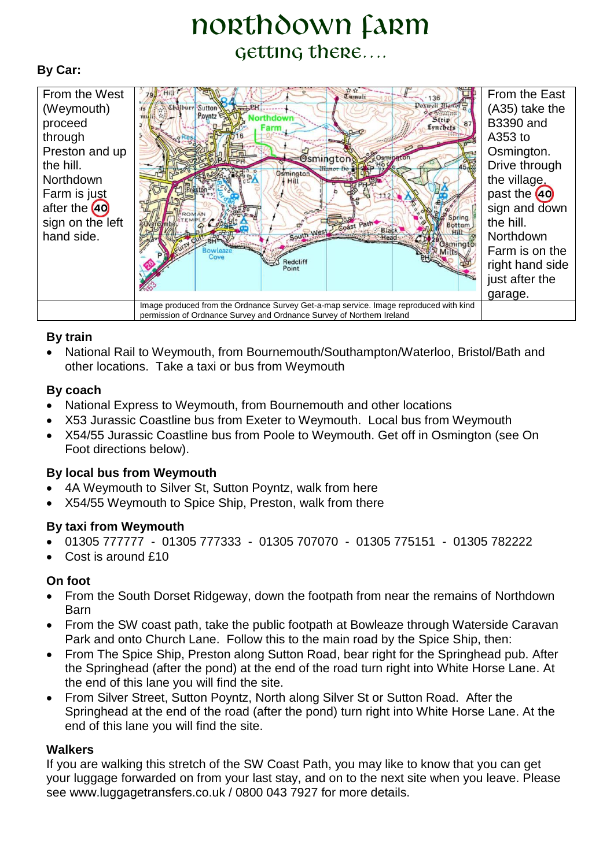# northdown Farm getting there….

# **By Car:**



# **By train**

 National Rail to Weymouth, from Bournemouth/Southampton/Waterloo, Bristol/Bath and other locations. Take a taxi or bus from Weymouth

# **By coach**

- National Express to Weymouth, from Bournemouth and other locations
- X53 Jurassic Coastline bus from Exeter to Weymouth. Local bus from Weymouth
- X54/55 Jurassic Coastline bus from Poole to Weymouth. Get off in Osmington (see On Foot directions below).

#### **By local bus from Weymouth**

- 4A Weymouth to Silver St, Sutton Poyntz, walk from here
- X54/55 Weymouth to Spice Ship, Preston, walk from there

#### **By taxi from Weymouth**

- 01305 777777 01305 777333 01305 707070 01305 775151 01305 782222
- Cost is around £10

#### **On foot**

- From the South Dorset Ridgeway, down the footpath from near the remains of Northdown Barn
- From the SW coast path, take the public footpath at Bowleaze through Waterside Caravan Park and onto Church Lane. Follow this to the main road by the Spice Ship, then:
- From The Spice Ship, Preston along Sutton Road, bear right for the Springhead pub. After the Springhead (after the pond) at the end of the road turn right into White Horse Lane. At the end of this lane you will find the site.
- From Silver Street, Sutton Poyntz, North along Silver St or Sutton Road. After the Springhead at the end of the road (after the pond) turn right into White Horse Lane. At the end of this lane you will find the site.

#### **Walkers**

If you are walking this stretch of the SW Coast Path, you may like to know that you can get your luggage forwarded on from your last stay, and on to the next site when you leave. Please see www.luggagetransfers.co.uk / 0800 043 7927 for more details.